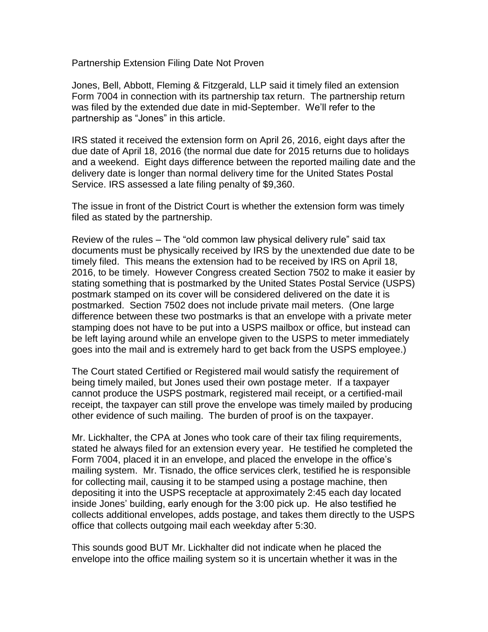Partnership Extension Filing Date Not Proven

Jones, Bell, Abbott, Fleming & Fitzgerald, LLP said it timely filed an extension Form 7004 in connection with its partnership tax return. The partnership return was filed by the extended due date in mid-September. We'll refer to the partnership as "Jones" in this article.

IRS stated it received the extension form on April 26, 2016, eight days after the due date of April 18, 2016 (the normal due date for 2015 returns due to holidays and a weekend. Eight days difference between the reported mailing date and the delivery date is longer than normal delivery time for the United States Postal Service. IRS assessed a late filing penalty of \$9,360.

The issue in front of the District Court is whether the extension form was timely filed as stated by the partnership.

Review of the rules – The "old common law physical delivery rule" said tax documents must be physically received by IRS by the unextended due date to be timely filed. This means the extension had to be received by IRS on April 18, 2016, to be timely. However Congress created Section 7502 to make it easier by stating something that is postmarked by the United States Postal Service (USPS) postmark stamped on its cover will be considered delivered on the date it is postmarked. Section 7502 does not include private mail meters. (One large difference between these two postmarks is that an envelope with a private meter stamping does not have to be put into a USPS mailbox or office, but instead can be left laying around while an envelope given to the USPS to meter immediately goes into the mail and is extremely hard to get back from the USPS employee.)

The Court stated Certified or Registered mail would satisfy the requirement of being timely mailed, but Jones used their own postage meter. If a taxpayer cannot produce the USPS postmark, registered mail receipt, or a certified-mail receipt, the taxpayer can still prove the envelope was timely mailed by producing other evidence of such mailing. The burden of proof is on the taxpayer.

Mr. Lickhalter, the CPA at Jones who took care of their tax filing requirements, stated he always filed for an extension every year. He testified he completed the Form 7004, placed it in an envelope, and placed the envelope in the office's mailing system. Mr. Tisnado, the office services clerk, testified he is responsible for collecting mail, causing it to be stamped using a postage machine, then depositing it into the USPS receptacle at approximately 2:45 each day located inside Jones' building, early enough for the 3:00 pick up. He also testified he collects additional envelopes, adds postage, and takes them directly to the USPS office that collects outgoing mail each weekday after 5:30.

This sounds good BUT Mr. Lickhalter did not indicate when he placed the envelope into the office mailing system so it is uncertain whether it was in the